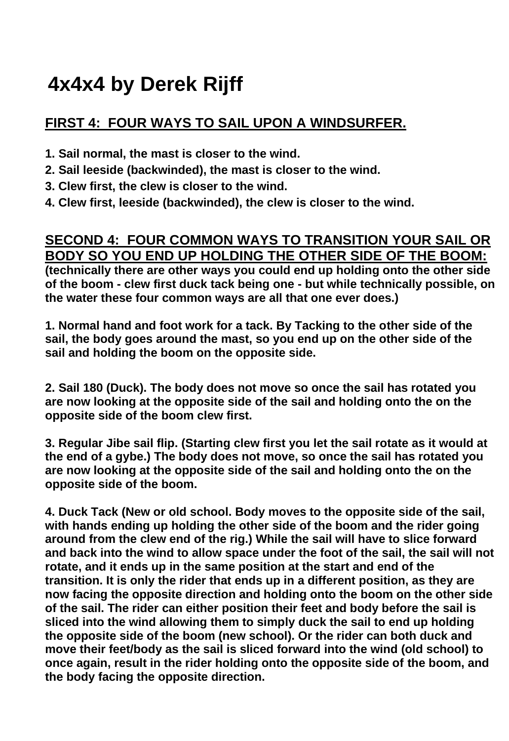## **4x4x4 by Derek Rijff**

## **FIRST 4: FOUR WAYS TO SAIL UPON A WINDSURFER.**

- **1. Sail normal, the mast is closer to the wind.**
- **2. Sail leeside (backwinded), the mast is closer to the wind.**
- **3. Clew first, the clew is closer to the wind.**
- **4. Clew first, leeside (backwinded), the clew is closer to the wind.**

## **SECOND 4: FOUR COMMON WAYS TO TRANSITION YOUR SAIL OR BODY SO YOU END UP HOLDING THE OTHER SIDE OF THE BOOM:**

**(technically there are other ways you could end up holding onto the other side of the boom - clew first duck tack being one - but while technically possible, on the water these four common ways are all that one ever does.)** 

**1. Normal hand and foot work for a tack. By Tacking to the other side of the sail, the body goes around the mast, so you end up on the other side of the sail and holding the boom on the opposite side.** 

**2. Sail 180 (Duck). The body does not move so once the sail has rotated you are now looking at the opposite side of the sail and holding onto the on the opposite side of the boom clew first.** 

**3. Regular Jibe sail flip. (Starting clew first you let the sail rotate as it would at the end of a gybe.) The body does not move, so once the sail has rotated you are now looking at the opposite side of the sail and holding onto the on the opposite side of the boom.** 

**4. Duck Tack (New or old school. Body moves to the opposite side of the sail, with hands ending up holding the other side of the boom and the rider going around from the clew end of the rig.) While the sail will have to slice forward and back into the wind to allow space under the foot of the sail, the sail will not rotate, and it ends up in the same position at the start and end of the transition. It is only the rider that ends up in a different position, as they are now facing the opposite direction and holding onto the boom on the other side of the sail. The rider can either position their feet and body before the sail is sliced into the wind allowing them to simply duck the sail to end up holding the opposite side of the boom (new school). Or the rider can both duck and move their feet/body as the sail is sliced forward into the wind (old school) to once again, result in the rider holding onto the opposite side of the boom, and the body facing the opposite direction.**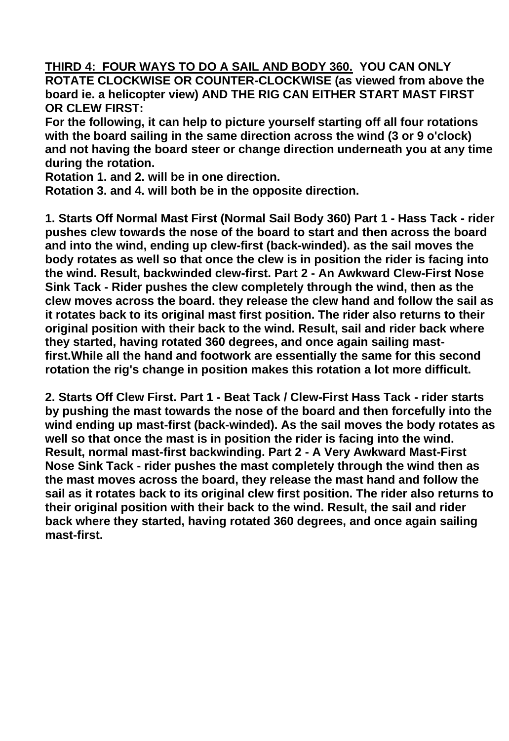**THIRD 4: FOUR WAYS TO DO A SAIL AND BODY 360. YOU CAN ONLY ROTATE CLOCKWISE OR COUNTER-CLOCKWISE (as viewed from above the board ie. a helicopter view) AND THE RIG CAN EITHER START MAST FIRST OR CLEW FIRST:** 

**For the following, it can help to picture yourself starting off all four rotations with the board sailing in the same direction across the wind (3 or 9 o'clock) and not having the board steer or change direction underneath you at any time during the rotation.** 

**Rotation 1. and 2. will be in one direction.** 

**Rotation 3. and 4. will both be in the opposite direction.** 

**1. Starts Off Normal Mast First (Normal Sail Body 360) Part 1 - Hass Tack - rider pushes clew towards the nose of the board to start and then across the board and into the wind, ending up clew-first (back-winded). as the sail moves the body rotates as well so that once the clew is in position the rider is facing into the wind. Result, backwinded clew-first. Part 2 - An Awkward Clew-First Nose Sink Tack - Rider pushes the clew completely through the wind, then as the clew moves across the board. they release the clew hand and follow the sail as it rotates back to its original mast first position. The rider also returns to their original position with their back to the wind. Result, sail and rider back where they started, having rotated 360 degrees, and once again sailing mastfirst.While all the hand and footwork are essentially the same for this second rotation the rig's change in position makes this rotation a lot more difficult.** 

**2. Starts Off Clew First. Part 1 - Beat Tack / Clew-First Hass Tack - rider starts by pushing the mast towards the nose of the board and then forcefully into the wind ending up mast-first (back-winded). As the sail moves the body rotates as well so that once the mast is in position the rider is facing into the wind. Result, normal mast-first backwinding. Part 2 - A Very Awkward Mast-First Nose Sink Tack - rider pushes the mast completely through the wind then as the mast moves across the board, they release the mast hand and follow the sail as it rotates back to its original clew first position. The rider also returns to their original position with their back to the wind. Result, the sail and rider back where they started, having rotated 360 degrees, and once again sailing mast-first.**